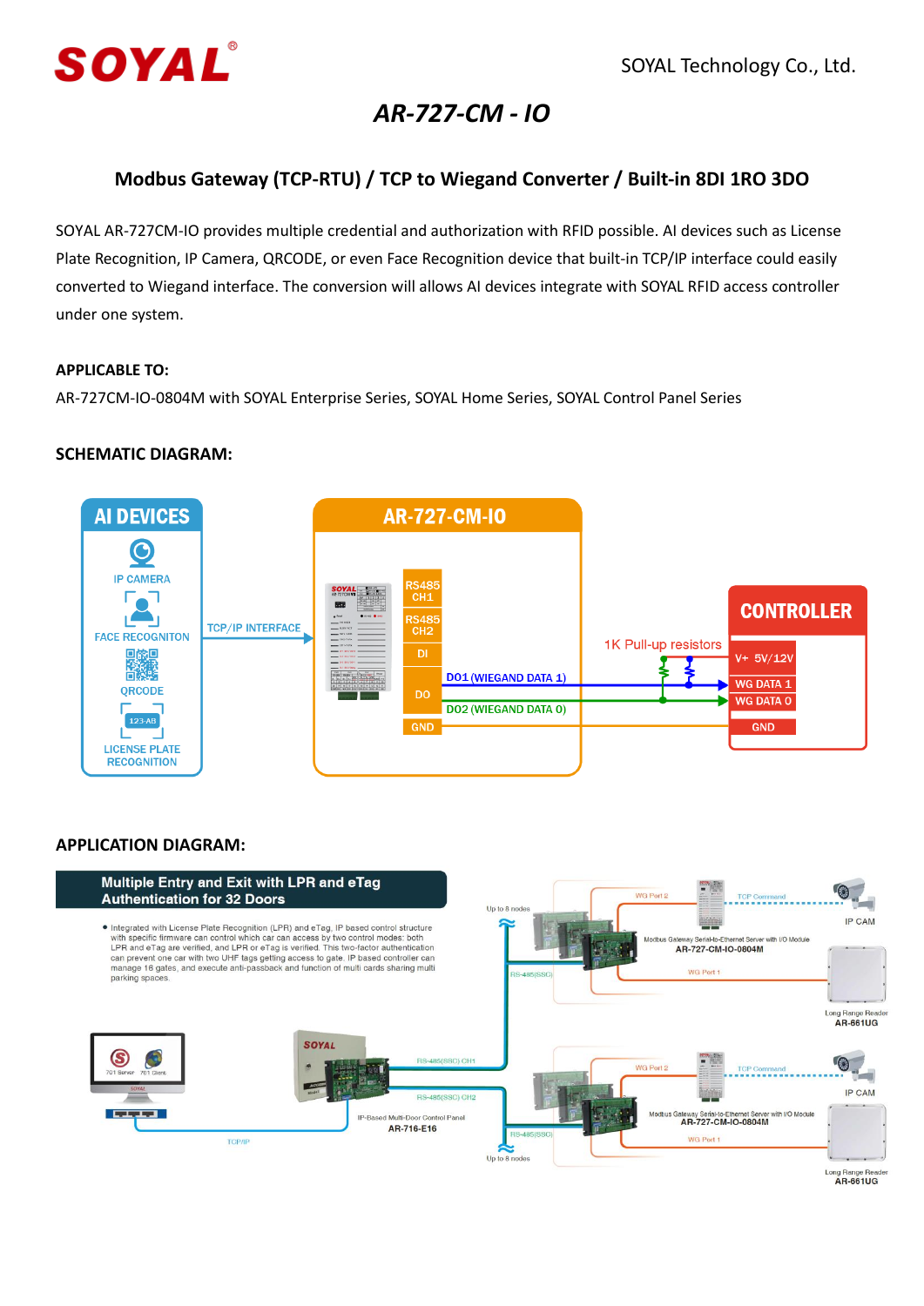

# *AR-727-CM - IO*

# **Modbus Gateway (TCP-RTU) / TCP to Wiegand Converter / Built-in 8DI 1RO 3DO**

SOYAL AR-727CM-IO provides multiple credential and authorization with RFID possible. AI devices such as License Plate Recognition, IP Camera, QRCODE, or even Face Recognition device that built-in TCP/IP interface could easily converted to Wiegand interface. The conversion will allows AI devices integrate with SOYAL RFID access controller under one system.

#### **APPLICABLE TO:**

AR-727CM-IO-0804M with SOYAL Enterprise Series, SOYAL Home Series, SOYAL Control Panel Series

## **SCHEMATIC DIAGRAM:**



## **APPLICATION DIAGRAM:**



Long Range Read